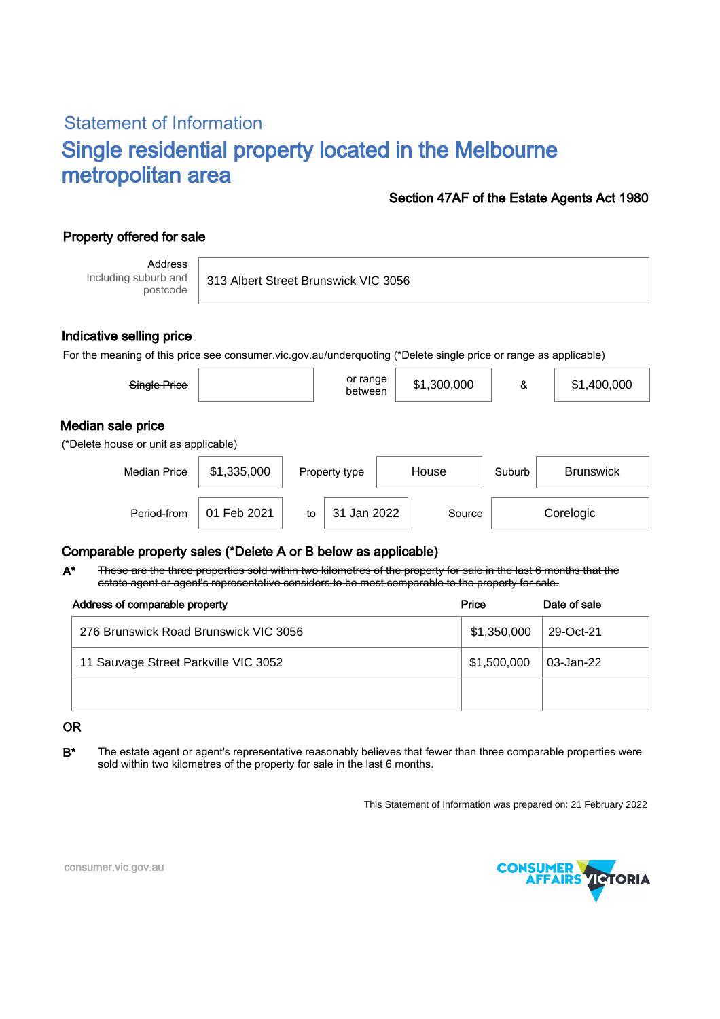# Statement of Information Single residential property located in the Melbourne metropolitan area

#### Section 47AF of the Estate Agents Act 1980

## Property offered for sale

Address Including suburb and postcode

313 Albert Street Brunswick VIC 3056

#### Indicative selling price

For the meaning of this price see consumer.vic.gov.au/underquoting (\*Delete single price or range as applicable)

| Single Price                                               |             |    | or range<br>between |       | \$1,300,000 | &      | \$1,400,000      |  |  |
|------------------------------------------------------------|-------------|----|---------------------|-------|-------------|--------|------------------|--|--|
| Median sale price<br>(*Delete house or unit as applicable) |             |    |                     |       |             |        |                  |  |  |
| <b>Median Price</b>                                        | \$1,335,000 |    | Property type       | House |             | Suburb | <b>Brunswick</b> |  |  |
| Period-from                                                | 01 Feb 2021 | to | 31 Jan 2022         |       | Source      |        | Corelogic        |  |  |

### Comparable property sales (\*Delete A or B below as applicable)

These are the three properties sold within two kilometres of the property for sale in the last 6 months that the estate agent or agent's representative considers to be most comparable to the property for sale. A\*

| Address of comparable property        | Price       | Date of sale |
|---------------------------------------|-------------|--------------|
| 276 Brunswick Road Brunswick VIC 3056 | \$1,350,000 | 29-Oct-21    |
| 11 Sauvage Street Parkville VIC 3052  | \$1,500,000 | 03-Jan-22    |
|                                       |             |              |

#### OR

B<sup>\*</sup> The estate agent or agent's representative reasonably believes that fewer than three comparable properties were sold within two kilometres of the property for sale in the last 6 months.

This Statement of Information was prepared on: 21 February 2022



consumer.vic.gov.au